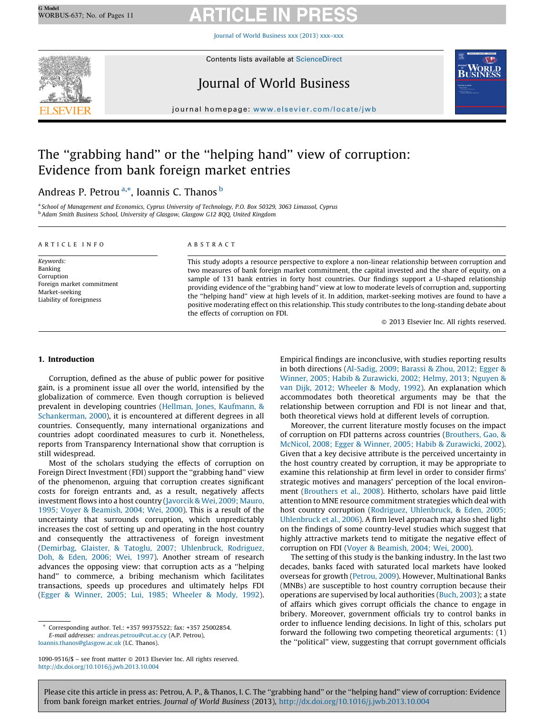Journal of World [Business](http://dx.doi.org/10.1016/j.jwb.2013.10.004) xxx (2013) xxx–xxx



Contents lists available at [ScienceDirect](http://www.sciencedirect.com/science/journal/10909516)

## Journal of World Business



journal homepage: [www.elsevier.com/locate/jwb](http://dx.doi.org/www.elsevier.com/locate/jwb)

## The ''grabbing hand'' or the ''helping hand'' view of corruption: Evidence from bank foreign market entries

## Andreas P. Petrou <sup>a,\*</sup>, Ioannis C. Thanos <sup>b</sup>

<sup>a</sup> School of Management and Economics, Cyprus University of Technology, P.O. Box 50329, 3063 Limassol, Cyprus <sup>b</sup> Adam Smith Business School, University of Glasgow, Glasgow G12 8QQ, United Kingdom

#### A R T I C L E I N F O

Keywords: Banking Corruption Foreign market commitment Market-seeking Liability of foreignness

#### A B S T R A C T

This study adopts a resource perspective to explore a non-linear relationship between corruption and two measures of bank foreign market commitment, the capital invested and the share of equity, on a sample of 131 bank entries in forty host countries. Our findings support a U-shaped relationship providing evidence of the ''grabbing hand'' view at low to moderate levels of corruption and, supporting the ''helping hand'' view at high levels of it. In addition, market-seeking motives are found to have a positive moderating effect on this relationship. This study contributes to the long-standing debate about the effects of corruption on FDI.

- 2013 Elsevier Inc. All rights reserved.

### 1. Introduction

Corruption, defined as the abuse of public power for positive gain, is a prominent issue all over the world, intensified by the globalization of commerce. Even though corruption is believed prevalent in developing countries (Hellman, Jones, [Kaufmann,](#page--1-0) & [Schankerman,](#page--1-0) 2000), it is encountered at different degrees in all countries. Consequently, many international organizations and countries adopt coordinated measures to curb it. Nonetheless, reports from Transparency International show that corruption is still widespread.

Most of the scholars studying the effects of corruption on Foreign Direct Investment (FDI) support the "grabbing hand" view of the phenomenon, arguing that corruption creates significant costs for foreign entrants and, as a result, negatively affects investment flows into a host country ([Javorcik](#page--1-0) & Wei, 2009; Mauro, 1995; Voyer & [Beamish,](#page--1-0) 2004; Wei, 2000). This is a result of the uncertainty that surrounds corruption, which unpredictably increases the cost of setting up and operating in the host country and consequently the attractiveness of foreign investment (Demirbag, Glaister, & Tatoglu, 2007; [Uhlenbruck,](#page--1-0) Rodriguez, Doh, & Eden, [2006;](#page--1-0) Wei, 1997). Another stream of research advances the opposing view: that corruption acts as a ''helping hand'' to commerce, a bribing mechanism which facilitates transactions, speeds up procedures and ultimately helps FDI (Egger & Winner, 2005; Lui, 1985; [Wheeler](#page--1-0) & Mody, 1992).

Empirical findings are inconclusive, with studies reporting results in both directions ([Al-Sadig,](#page--1-0) 2009; Barassi & Zhou, 2012; Egger & Winner, 2005; Habib & [Zurawicki,](#page--1-0) 2002; Helmy, 2013; Nguyen & van Dijk, 2012; [Wheeler](#page--1-0) & Mody, 1992). An explanation which accommodates both theoretical arguments may be that the relationship between corruption and FDI is not linear and that, both theoretical views hold at different levels of corruption.

Moreover, the current literature mostly focuses on the impact of corruption on FDI patterns across countries [\(Brouthers,](#page--1-0) Gao, & McNicol, 2008; Egger & Winner, 2005; Habib & [Zurawicki,](#page--1-0) 2002). Given that a key decisive attribute is the perceived uncertainty in the host country created by corruption, it may be appropriate to examine this relationship at firm level in order to consider firms' strategic motives and managers' perception of the local environment [\(Brouthers](#page--1-0) et al., 2008). Hitherto, scholars have paid little attention to MNE resource commitment strategies which deal with host country corruption (Rodriguez, [Uhlenbruck,](#page--1-0) & Eden, 2005; [Uhlenbruck](#page--1-0) et al., 2006). A firm level approach may also shed light on the findings of some country-level studies which suggest that highly attractive markets tend to mitigate the negative effect of corruption on FDI (Voyer & [Beamish,](#page--1-0) 2004; Wei, 2000).

The setting of this study is the banking industry. In the last two decades, banks faced with saturated local markets have looked overseas for growth [\(Petrou,](#page--1-0) 2009). However, Multinational Banks (MNBs) are susceptible to host country corruption because their operations are supervised by local authorities [\(Buch,](#page--1-0) 2003); a state of affairs which gives corrupt officials the chance to engage in bribery. Moreover, government officials try to control banks in order to influence lending decisions. In light of this, scholars put forward the following two competing theoretical arguments: (1) the ''political'' view, suggesting that corrupt government officials

Please cite this article in press as: Petrou, A. P., & Thanos, I. C. The ''grabbing hand'' or the ''helping hand'' view of corruption: Evidence from bank foreign market entries. Journal of World Business (2013), <http://dx.doi.org/10.1016/j.jwb.2013.10.004>

<sup>\*</sup> Corresponding author. Tel.: +357 99375522; fax: +357 25002854. E-mail addresses: [andreas.petrou@cut.ac.cy](mailto:andreas.petrou@cut.ac.cy) (A.P. Petrou), [Ioannis.thanos@glasgow.ac.uk](mailto:Ioannis.thanos@glasgow.ac.uk) (I.C. Thanos).

<sup>1090-9516/\$ -</sup> see front matter @ 2013 Elsevier Inc. All rights reserved. <http://dx.doi.org/10.1016/j.jwb.2013.10.004>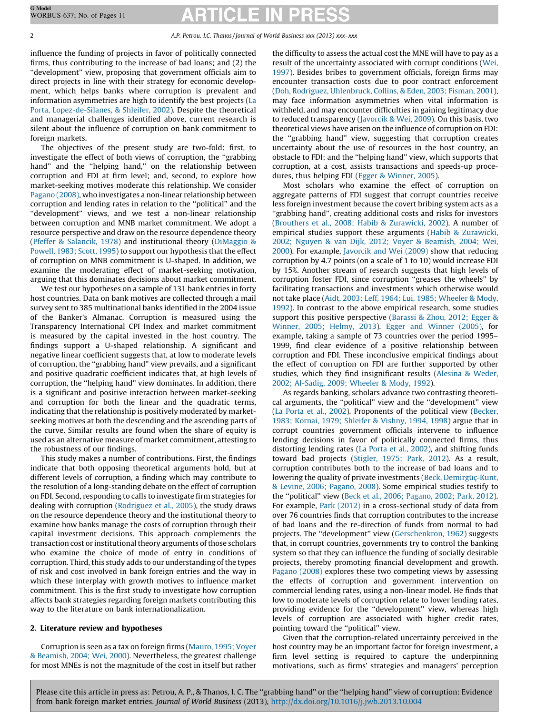#### 2 A.P. Petrou, I.C. Thanos / Journal of World Business xxx (2013) xxx–xxx

influence the funding of projects in favor of politically connected firms, thus contributing to the increase of bad loans; and (2) the ''development'' view, proposing that government officials aim to direct projects in line with their strategy for economic development, which helps banks where corruption is prevalent and information asymmetries are high to identify the best projects [\(La](#page--1-0) Porta, [Lopez-de-Silanes,](#page--1-0) & Shleifer, 2002). Despite the theoretical and managerial challenges identified above, current research is silent about the influence of corruption on bank commitment to foreign markets.

The objectives of the present study are two-fold: first, to investigate the effect of both views of corruption, the ''grabbing hand'' and the ''helping hand,'' on the relationship between corruption and FDI at firm level; and, second, to explore how market-seeking motives moderate this relationship. We consider [Pagano](#page--1-0) (2008), who investigates a non-linear relationship between corruption and lending rates in relation to the ''political'' and the "development" views, and we test a non-linear relationship between corruption and MNB market commitment. We adopt a resource perspective and draw on the resource dependence theory (Pfeffer & [Salancik,](#page--1-0) 1978) and institutional theory ([DiMaggio](#page--1-0) & [Powell,](#page--1-0) 1983; Scott, 1995) to support our hypothesis that the effect of corruption on MNB commitment is U-shaped. In addition, we examine the moderating effect of market-seeking motivation, arguing that this dominates decisions about market commitment.

We test our hypotheses on a sample of 131 bank entries in forty host countries. Data on bank motives are collected through a mail survey sent to 385 multinational banks identified in the 2004 issue of the Banker's Almanac. Corruption is measured using the Transparency International CPI Index and market commitment is measured by the capital invested in the host country. The findings support a U-shaped relationship. A significant and negative linear coefficient suggests that, at low to moderate levels of corruption, the ''grabbing hand'' view prevails, and a significant and positive quadratic coefficient indicates that, at high levels of corruption, the ''helping hand'' view dominates. In addition, there is a significant and positive interaction between market-seeking and corruption for both the linear and the quadratic terms, indicating that the relationship is positively moderated by marketseeking motives at both the descending and the ascending parts of the curve. Similar results are found when the share of equity is used as an alternative measure of market commitment, attesting to the robustness of our findings.

This study makes a number of contributions. First, the findings indicate that both opposing theoretical arguments hold, but at different levels of corruption, a finding which may contribute to the resolution of a long-standing debate on the effect of corruption on FDI. Second, responding to calls to investigate firm strategies for dealing with corruption [\(Rodriguez](#page--1-0) et al., 2005), the study draws on the resource dependence theory and the institutional theory to examine how banks manage the costs of corruption through their capital investment decisions. This approach complements the transaction cost or institutional theory arguments of those scholars who examine the choice of mode of entry in conditions of corruption. Third, this study adds to our understanding of the types of risk and cost involved in bank foreign entries and the way in which these interplay with growth motives to influence market commitment. This is the first study to investigate how corruption affects bank strategies regarding foreign markets contributing this way to the literature on bank internationalization.

### 2. Literature review and hypotheses

Corruption is seen as a tax on foreign firms ([Mauro,](#page--1-0) 1995; Voyer & [Beamish,](#page--1-0) 2004; Wei, 2000). Nevertheless, the greatest challenge for most MNEs is not the magnitude of the cost in itself but rather the difficulty to assess the actual cost the MNE will have to pay as a result of the uncertainty associated with corrupt conditions [\(Wei,](#page--1-0) [1997](#page--1-0)). Besides bribes to government officials, foreign firms may encounter transaction costs due to poor contract enforcement (Doh, Rodriguez, [Uhlenbruck,](#page--1-0) Collins, & Eden, 2003; Fisman, 2001), may face information asymmetries when vital information is withheld, and may encounter difficulties in gaining legitimacy due to reduced transparency [\(Javorcik](#page--1-0) & Wei, 2009). On this basis, two theoretical views have arisen on the influence of corruption on FDI: the ''grabbing hand'' view, suggesting that corruption creates uncertainty about the use of resources in the host country, an obstacle to FDI; and the ''helping hand'' view, which supports that corruption, at a cost, assists transactions and speeds-up procedures, thus helping FDI (Egger & [Winner,](#page--1-0) 2005).

Most scholars who examine the effect of corruption on aggregate patterns of FDI suggest that corrupt countries receive less foreign investment because the covert bribing system acts as a ''grabbing hand'', creating additional costs and risks for investors (Brouthers et al., 2008; Habib & [Zurawicki,](#page--1-0) 2002). A number of empirical studies support these arguments (Habib & [Zurawicki,](#page--1-0) 2002; Nguyen & van Dijk, 2012; Voyer & [Beamish,](#page--1-0) 2004; Wei, [2000\)](#page--1-0). For example, [Javorcik](#page--1-0) and Wei (2009) show that reducing corruption by 4.7 points (on a scale of 1 to 10) would increase FDI by 15%. Another stream of research suggests that high levels of corruption foster FDI, since corruption ''greases the wheels'' by facilitating transactions and investments which otherwise would not take place (Aidt, 2003; Leff, 1964; Lui, 1985; [Wheeler](#page--1-0) & Mody, [1992](#page--1-0)). In contrast to the above empirical research, some studies support this positive perspective ([Barassi](#page--1-0) & Zhou, 2012; Egger & [Winner,](#page--1-0) 2005; Helmy, 2013). Egger and [Winner](#page--1-0) (2005), for example, taking a sample of 73 countries over the period 1995– 1999, find clear evidence of a positive relationship between corruption and FDI. These inconclusive empirical findings about the effect of corruption on FDI are further supported by other studies, which they find insignificant results [\(Alesina](#page--1-0) & Weder, 2002; [Al-Sadig,](#page--1-0) 2009; Wheeler & Mody, 1992).

As regards banking, scholars advance two contrasting theoretical arguments, the ''political'' view and the ''development'' view (La [Porta](#page--1-0) et al., 2002). Proponents of the political view [\(Becker,](#page--1-0) 1983; Kornai, 1979; [Shleifer](#page--1-0) & Vishny, 1994, 1998) argue that in corrupt countries government officials intervene to influence lending decisions in favor of politically connected firms, thus distorting lending rates (La [Porta](#page--1-0) et al., 2002), and shifting funds toward bad projects [\(Stigler,](#page--1-0) 1975; Park, 2012). As a result, corruption contributes both to the increase of bad loans and to lowering the quality of private investments (Beck, Demirgüç[-Kunt,](#page--1-0) & Levine, 2006; [Pagano,](#page--1-0) 2008). Some empirical studies testify to the ''political'' view (Beck et al., 2006; [Pagano,](#page--1-0) 2002; Park, 2012). For example, Park [\(2012\)](#page--1-0) in a cross-sectional study of data from over 76 countries finds that corruption contributes to the increase of bad loans and the re-direction of funds from normal to bad projects. The ''development'' view ([Gerschenkron,](#page--1-0) 1962) suggests that, in corrupt countries, governments try to control the banking system so that they can influence the funding of socially desirable projects, thereby promoting financial development and growth. [Pagano](#page--1-0) (2008) explores these two competing views by assessing the effects of corruption and government intervention on commercial lending rates, using a non-linear model. He finds that low to moderate levels of corruption relate to lower lending rates, providing evidence for the ''development'' view, whereas high levels of corruption are associated with higher credit rates, pointing toward the ''political'' view.

Given that the corruption-related uncertainty perceived in the host country may be an important factor for foreign investment, a firm level setting is required to capture the underpinning motivations, such as firms' strategies and managers' perception

Please cite this article in press as: Petrou, A. P., & Thanos, I. C. The ''grabbing hand'' or the ''helping hand'' view of corruption: Evidence from bank foreign market entries. Journal of World Business (2013), <http://dx.doi.org/10.1016/j.jwb.2013.10.004>